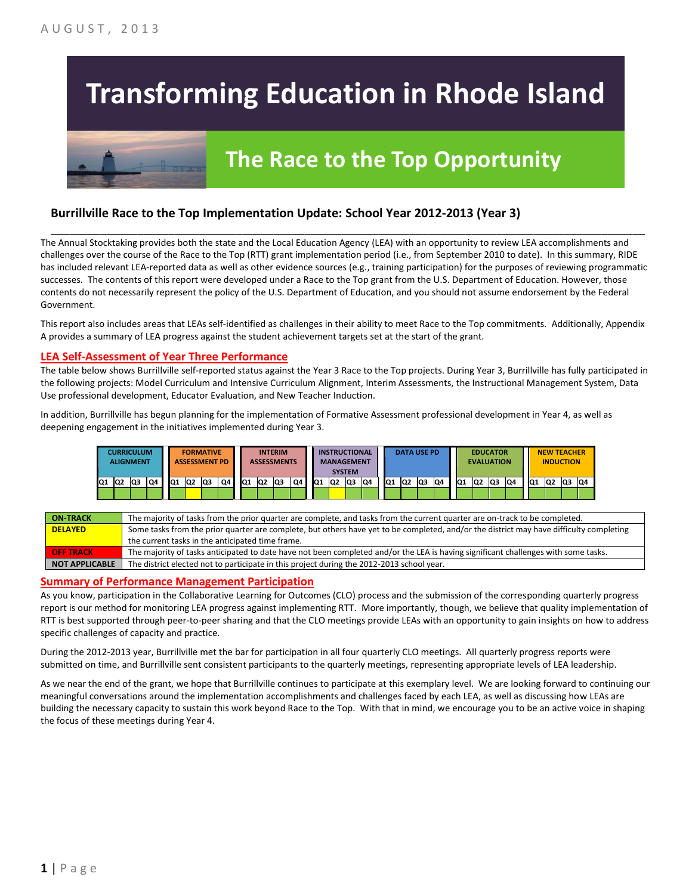# **Transforming Education in Rhode Island**

## **The Race to the Top Opportunity**

#### **Burrillville Race to the Top Implementation Update: School Year 2012-2013 (Year 3)**

The Annual Stocktaking provides both the state and the Local Education Agency (LEA) with an opportunity to review LEA accomplishments and challenges over the course of the Race to the Top (RTT) grant implementation period (i.e., from September 2010 to date). In this summary, RIDE has included relevant LEA-reported data as well as other evidence sources (e.g., training participation) for the purposes of reviewing programmatic successes. The contents of this report were developed under a Race to the Top grant from the U.S. Department of Education. However, those contents do not necessarily represent the policy of the U.S. Department of Education, and you should not assume endorsement by the Federal Government.

\_\_\_\_\_\_\_\_\_\_\_\_\_\_\_\_\_\_\_\_\_\_\_\_\_\_\_\_\_\_\_\_\_\_\_\_\_\_\_\_\_\_\_\_\_\_\_\_\_\_\_\_\_\_\_\_\_\_\_\_\_\_\_\_\_\_\_\_\_\_\_\_\_\_\_\_\_\_\_\_\_\_\_\_\_\_\_\_\_\_\_\_\_\_\_\_

This report also includes areas that LEAs self-identified as challenges in their ability to meet Race to the Top commitments. Additionally, Appendix A provides a summary of LEA progress against the student achievement targets set at the start of the grant.

#### **LEA Self-Assessment of Year Three Performance**

The table below shows Burrillville self-reported status against the Year 3 Race to the Top projects. During Year 3, Burrillville has fully participated in the following projects: Model Curriculum and Intensive Curriculum Alignment, Interim Assessments, the Instructional Management System, Data Use professional development, Educator Evaluation, and New Teacher Induction.

In addition, Burrillville has begun planning for the implementation of Formative Assessment professional development in Year 4, as well as deepening engagement in the initiatives implemented during Year 3.



| <b>ON TRACK</b>  | The majority of tasks from the prior quarter are complete, and tasks from the current quarter are on-track to be completed.             |
|------------------|-----------------------------------------------------------------------------------------------------------------------------------------|
| <b>DELAYED</b>   | Some tasks from the prior quarter are complete, but others have yet to be completed, and/or the district may have difficulty completing |
|                  | the current tasks in the anticipated time frame.                                                                                        |
| <b>OFF TRACK</b> | The majority of tasks anticipated to date have not been completed and/or the LEA is having significant challenges with some tasks.      |
| NOT APPLICABLE   | The district elected not to participate in this project during the 2012-2013 school year.                                               |

#### **Summary of Performance Management Participation**

As you know, participation in the Collaborative Learning for Outcomes (CLO) process and the submission of the corresponding quarterly progress report is our method for monitoring LEA progress against implementing RTT. More importantly, though, we believe that quality implementation of RTT is best supported through peer-to-peer sharing and that the CLO meetings provide LEAs with an opportunity to gain insights on how to address specific challenges of capacity and practice.

During the 2012-2013 year, Burrillville met the bar for participation in all four quarterly CLO meetings. All quarterly progress reports were submitted on time, and Burrillville sent consistent participants to the quarterly meetings, representing appropriate levels of LEA leadership.

As we near the end of the grant, we hope that Burrillville continues to participate at this exemplary level. We are looking forward to continuing our meaningful conversations around the implementation accomplishments and challenges faced by each LEA, as well as discussing how LEAs are building the necessary capacity to sustain this work beyond Race to the Top. With that in mind, we encourage you to be an active voice in shaping the focus of these meetings during Year 4.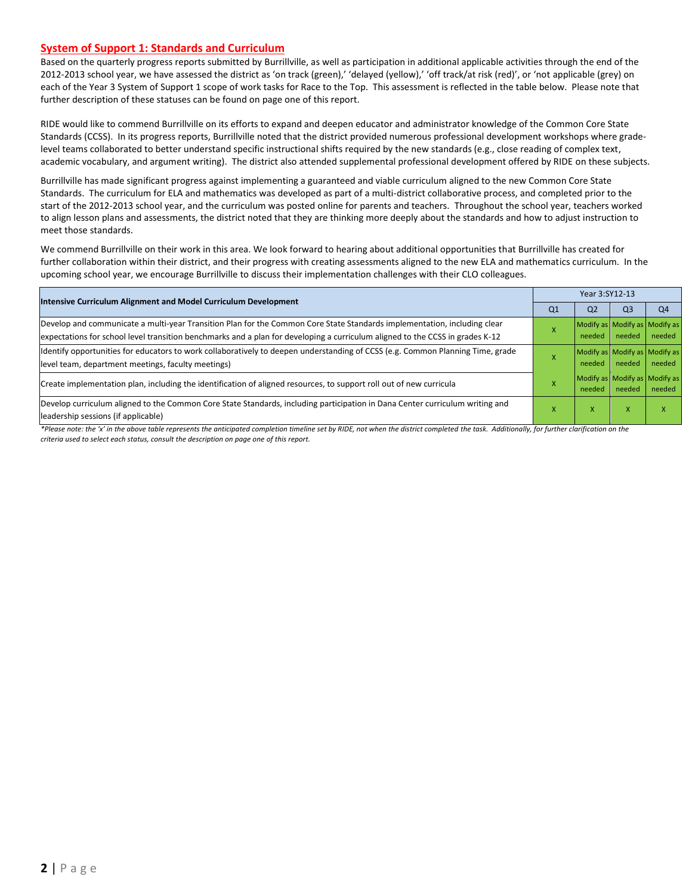#### **System of Support 1: Standards and Curriculum**

Based on the quarterly progress reports submitted by Burrillville, as well as participation in additional applicable activities through the end of the 2012-2013 school year, we have assessed the district as 'on track (green),' 'delayed (yellow),' 'off track/at risk (red)', or 'not applicable (grey) on each of the Year 3 System of Support 1 scope of work tasks for Race to the Top. This assessment is reflected in the table below. Please note that further description of these statuses can be found on page one of this report.

RIDE would like to commend Burrillville on its efforts to expand and deepen educator and administrator knowledge of the Common Core State Standards (CCSS). In its progress reports, Burrillville noted that the district provided numerous professional development workshops where gradelevel teams collaborated to better understand specific instructional shifts required by the new standards (e.g., close reading of complex text, academic vocabulary, and argument writing). The district also attended supplemental professional development offered by RIDE on these subjects.

Burrillville has made significant progress against implementing a guaranteed and viable curriculum aligned to the new Common Core State Standards. The curriculum for ELA and mathematics was developed as part of a multi-district collaborative process, and completed prior to the start of the 2012-2013 school year, and the curriculum was posted online for parents and teachers. Throughout the school year, teachers worked to align lesson plans and assessments, the district noted that they are thinking more deeply about the standards and how to adjust instruction to meet those standards.

We commend Burrillville on their work in this area. We look forward to hearing about additional opportunities that Burrillville has created for further collaboration within their district, and their progress with creating assessments aligned to the new ELA and mathematics curriculum. In the upcoming school year, we encourage Burrillville to discuss their implementation challenges with their CLO colleagues.

| <b>Intensive Curriculum Alignment and Model Curriculum Development</b>                                                                                                                                                                                    |                | Year 3:SY12-13                          |                |                |  |  |  |
|-----------------------------------------------------------------------------------------------------------------------------------------------------------------------------------------------------------------------------------------------------------|----------------|-----------------------------------------|----------------|----------------|--|--|--|
|                                                                                                                                                                                                                                                           | Q <sub>1</sub> | Q <sub>2</sub>                          | Q <sub>3</sub> | Q <sub>4</sub> |  |  |  |
| Develop and communicate a multi-year Transition Plan for the Common Core State Standards implementation, including clear<br>expectations for school level transition benchmarks and a plan for developing a curriculum aligned to the CCSS in grades K-12 |                | Modify as Modify as Modify as<br>needed | needed         | needed         |  |  |  |
| Identify opportunities for educators to work collaboratively to deepen understanding of CCSS (e.g. Common Planning Time, grade<br>level team, department meetings, faculty meetings)                                                                      |                | Modify as Modify as Modify as<br>needed | needed         | needed         |  |  |  |
| Create implementation plan, including the identification of aligned resources, to support roll out of new curricula                                                                                                                                       |                | Modify as Modify as Modify as<br>needed | needed         | needed         |  |  |  |
| Develop curriculum aligned to the Common Core State Standards, including participation in Dana Center curriculum writing and<br>leadership sessions (if applicable)                                                                                       |                | x                                       | x              | X              |  |  |  |

*\*Please note: the 'x' in the above table represents the anticipated completion timeline set by RIDE, not when the district completed the task. Additionally, for further clarification on the criteria used to select each status, consult the description on page one of this report.*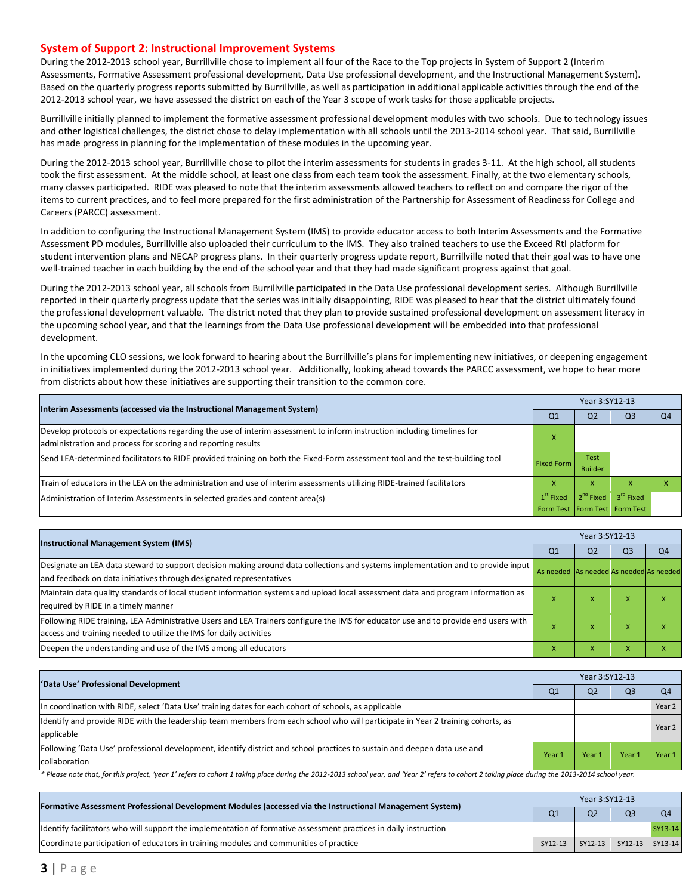#### **System of Support 2: Instructional Improvement Systems**

During the 2012-2013 school year, Burrillville chose to implement all four of the Race to the Top projects in System of Support 2 (Interim Assessments, Formative Assessment professional development, Data Use professional development, and the Instructional Management System). Based on the quarterly progress reports submitted by Burrillville, as well as participation in additional applicable activities through the end of the 2012-2013 school year, we have assessed the district on each of the Year 3 scope of work tasks for those applicable projects.

Burrillville initially planned to implement the formative assessment professional development modules with two schools. Due to technology issues and other logistical challenges, the district chose to delay implementation with all schools until the 2013-2014 school year. That said, Burrillville has made progress in planning for the implementation of these modules in the upcoming year.

During the 2012-2013 school year, Burrillville chose to pilot the interim assessments for students in grades 3-11. At the high school, all students took the first assessment. At the middle school, at least one class from each team took the assessment. Finally, at the two elementary schools, many classes participated. RIDE was pleased to note that the interim assessments allowed teachers to reflect on and compare the rigor of the items to current practices, and to feel more prepared for the first administration of the Partnership for Assessment of Readiness for College and Careers (PARCC) assessment.

In addition to configuring the Instructional Management System (IMS) to provide educator access to both Interim Assessments and the Formative Assessment PD modules, Burrillville also uploaded their curriculum to the IMS. They also trained teachers to use the Exceed RtI platform for student intervention plans and NECAP progress plans. In their quarterly progress update report, Burrillville noted that their goal was to have one well-trained teacher in each building by the end of the school year and that they had made significant progress against that goal.

During the 2012-2013 school year, all schools from Burrillville participated in the Data Use professional development series. Although Burrillville reported in their quarterly progress update that the series was initially disappointing, RIDE was pleased to hear that the district ultimately found the professional development valuable. The district noted that they plan to provide sustained professional development on assessment literacy in the upcoming school year, and that the learnings from the Data Use professional development will be embedded into that professional development.

In the upcoming CLO sessions, we look forward to hearing about the Burrillville's plans for implementing new initiatives, or deepening engagement in initiatives implemented during the 2012-2013 school year. Additionally, looking ahead towards the PARCC assessment, we hope to hear more from districts about how these initiatives are supporting their transition to the common core.

| Interim Assessments (accessed via the Instructional Management System)                                                                            |    | Year 3:SY12-13 |                                   |    |  |  |  |
|---------------------------------------------------------------------------------------------------------------------------------------------------|----|----------------|-----------------------------------|----|--|--|--|
|                                                                                                                                                   | Q1 | Q <sub>2</sub> | Q3                                | O4 |  |  |  |
| Develop protocols or expectations regarding the use of interim assessment to inform instruction including timelines for                           |    |                |                                   |    |  |  |  |
| administration and process for scoring and reporting results                                                                                      |    |                |                                   |    |  |  |  |
| Send LEA-determined facilitators to RIDE provided training on both the Fixed-Form assessment tool and the test-building tool<br><b>Fixed Form</b> |    | <b>Test</b>    |                                   |    |  |  |  |
|                                                                                                                                                   |    | <b>Builder</b> |                                   |    |  |  |  |
| Train of educators in the LEA on the administration and use of interim assessments utilizing RIDE-trained facilitators                            |    | x              |                                   |    |  |  |  |
| $1st$ Fixed<br>Administration of Interim Assessments in selected grades and content area(s)                                                       |    |                | $2^{nd}$ Fixed $3^{rd}$ Fixed     |    |  |  |  |
|                                                                                                                                                   |    |                | Form Test   Form Test   Form Test |    |  |  |  |

| <b>Instructional Management System (IMS)</b>                                                                                                                                                              |                                         | Year 3:SY12-13 |                |                |  |  |  |
|-----------------------------------------------------------------------------------------------------------------------------------------------------------------------------------------------------------|-----------------------------------------|----------------|----------------|----------------|--|--|--|
|                                                                                                                                                                                                           |                                         |                | Q <sub>3</sub> | O <sub>4</sub> |  |  |  |
| Designate an LEA data steward to support decision making around data collections and systems implementation and to provide input<br>and feedback on data initiatives through designated representatives   | As needed As needed As needed As needed |                |                |                |  |  |  |
| Maintain data quality standards of local student information systems and upload local assessment data and program information as<br>required by RIDE in a timely manner                                   | $\boldsymbol{\mathsf{A}}$               | x              | X              |                |  |  |  |
| Following RIDE training, LEA Administrative Users and LEA Trainers configure the IMS for educator use and to provide end users with<br>access and training needed to utilize the IMS for daily activities |                                         | x              | X              |                |  |  |  |
| Deepen the understanding and use of the IMS among all educators                                                                                                                                           | x                                       | x              | X              |                |  |  |  |

| 'Data Use' Professional Development                                                                                              |        | Year 3:SY12-13 |                |           |  |  |  |
|----------------------------------------------------------------------------------------------------------------------------------|--------|----------------|----------------|-----------|--|--|--|
|                                                                                                                                  |        | Q <sub>2</sub> | Q <sub>3</sub> | <b>O4</b> |  |  |  |
| In coordination with RIDE, select 'Data Use' training dates for each cohort of schools, as applicable                            |        |                |                | Year 2    |  |  |  |
| Ildentify and provide RIDE with the leadership team members from each school who will participate in Year 2 training cohorts, as |        |                |                | Year 2    |  |  |  |
| applicable                                                                                                                       |        |                |                |           |  |  |  |
| Following 'Data Use' professional development, identify district and school practices to sustain and deepen data use and         | Year 1 | Year 1         | Year           | Year 1    |  |  |  |
| collaboration                                                                                                                    |        |                |                |           |  |  |  |

\* Please note that, for this project, 'year 1' refers to cohort 1 taking place during the 2012-2013 school year, and 'Year 2' refers to cohort 2 taking place during the 2013-2014 school year.

| [Formative Assessment Professional Development Modules (accessed via the Instructional Management System)        | Year 3:SY12-13 |                |                 |                |  |
|------------------------------------------------------------------------------------------------------------------|----------------|----------------|-----------------|----------------|--|
|                                                                                                                  | Q <sub>1</sub> | Q <sub>2</sub> | Q <sub>3</sub>  | Q <sub>4</sub> |  |
| ldentify facilitators who will support the implementation of formative assessment practices in daily instruction |                |                |                 | SY13-14        |  |
| Coordinate participation of educators in training modules and communities of practice                            | SY12-13        | SY12-13        | SY12-13 SY13-14 |                |  |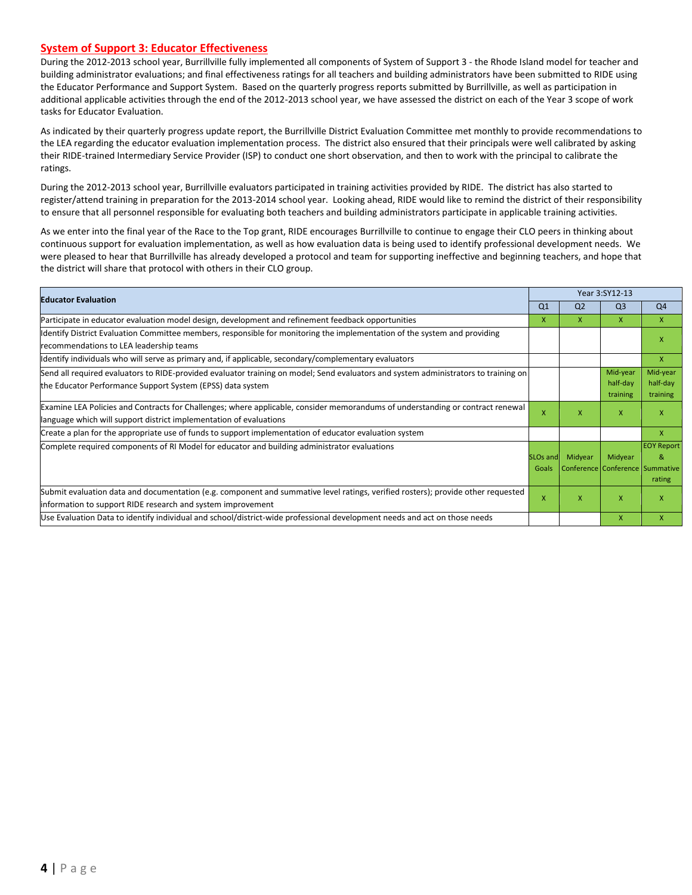#### **System of Support 3: Educator Effectiveness**

During the 2012-2013 school year, Burrillville fully implemented all components of System of Support 3 - the Rhode Island model for teacher and building administrator evaluations; and final effectiveness ratings for all teachers and building administrators have been submitted to RIDE using the Educator Performance and Support System. Based on the quarterly progress reports submitted by Burrillville, as well as participation in additional applicable activities through the end of the 2012-2013 school year, we have assessed the district on each of the Year 3 scope of work tasks for Educator Evaluation.

As indicated by their quarterly progress update report, the Burrillville District Evaluation Committee met monthly to provide recommendations to the LEA regarding the educator evaluation implementation process. The district also ensured that their principals were well calibrated by asking their RIDE-trained Intermediary Service Provider (ISP) to conduct one short observation, and then to work with the principal to calibrate the ratings.

During the 2012-2013 school year, Burrillville evaluators participated in training activities provided by RIDE. The district has also started to register/attend training in preparation for the 2013-2014 school year. Looking ahead, RIDE would like to remind the district of their responsibility to ensure that all personnel responsible for evaluating both teachers and building administrators participate in applicable training activities.

As we enter into the final year of the Race to the Top grant, RIDE encourages Burrillville to continue to engage their CLO peers in thinking about continuous support for evaluation implementation, as well as how evaluation data is being used to identify professional development needs. We were pleased to hear that Burrillville has already developed a protocol and team for supporting ineffective and beginning teachers, and hope that the district will share that protocol with others in their CLO group.

| <b>Educator Evaluation</b>                                                                                                          |                | Year 3:SY12-13                  |                |                   |  |
|-------------------------------------------------------------------------------------------------------------------------------------|----------------|---------------------------------|----------------|-------------------|--|
|                                                                                                                                     | Q <sub>1</sub> | Q <sub>2</sub>                  | Q <sub>3</sub> | Q <sub>4</sub>    |  |
| Participate in educator evaluation model design, development and refinement feedback opportunities                                  | X              | x                               | X              | X                 |  |
| Identify District Evaluation Committee members, responsible for monitoring the implementation of the system and providing           |                |                                 |                | x                 |  |
| recommendations to LEA leadership teams                                                                                             |                |                                 |                |                   |  |
| ldentify individuals who will serve as primary and, if applicable, secondary/complementary evaluators                               |                |                                 |                | X                 |  |
| Send all required evaluators to RIDE-provided evaluator training on model; Send evaluators and system administrators to training on |                |                                 | Mid-year       | Mid-year          |  |
| the Educator Performance Support System (EPSS) data system                                                                          |                |                                 | half-day       | half-day          |  |
|                                                                                                                                     |                |                                 | training       | training          |  |
| Examine LEA Policies and Contracts for Challenges; where applicable, consider memorandums of understanding or contract renewal      | X              | X                               | X              | x                 |  |
| language which will support district implementation of evaluations                                                                  |                |                                 |                |                   |  |
| Create a plan for the appropriate use of funds to support implementation of educator evaluation system                              |                |                                 |                | X                 |  |
| Complete required components of RI Model for educator and building administrator evaluations                                        |                |                                 |                | <b>EOY Report</b> |  |
|                                                                                                                                     | SLOs and       | Midyear                         | Midyear        | 8                 |  |
|                                                                                                                                     | Goals          | Conference Conference Summative |                |                   |  |
|                                                                                                                                     |                |                                 |                | rating            |  |
| Submit evaluation data and documentation (e.g. component and summative level ratings, verified rosters); provide other requested    |                | x                               | $\mathsf{x}$   | x                 |  |
| information to support RIDE research and system improvement                                                                         |                |                                 |                |                   |  |
| Use Evaluation Data to identify individual and school/district-wide professional development needs and act on those needs           |                |                                 | X              | X                 |  |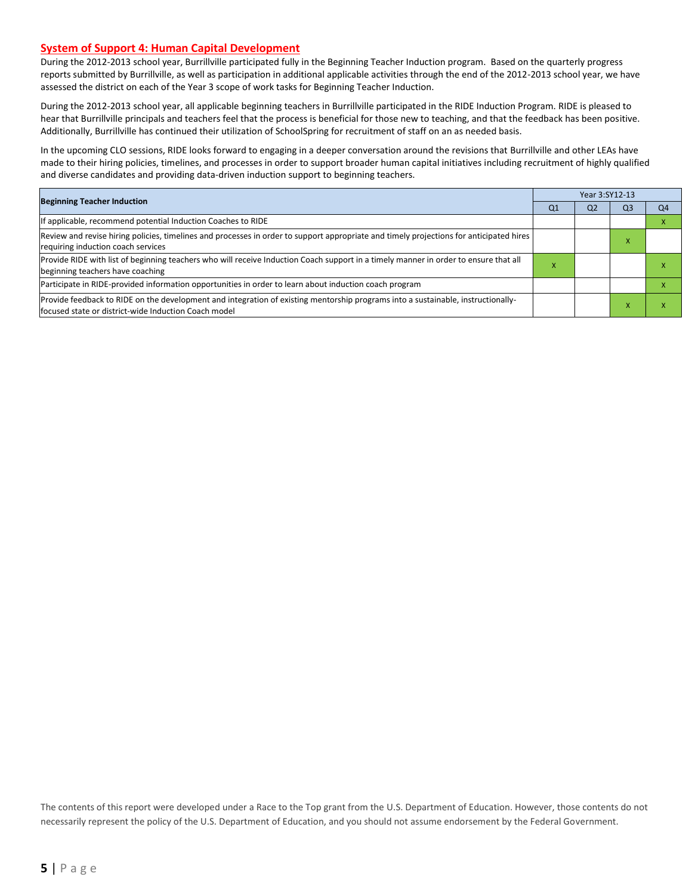#### **System of Support 4: Human Capital Development**

During the 2012-2013 school year, Burrillville participated fully in the Beginning Teacher Induction program. Based on the quarterly progress reports submitted by Burrillville, as well as participation in additional applicable activities through the end of the 2012-2013 school year, we have assessed the district on each of the Year 3 scope of work tasks for Beginning Teacher Induction.

During the 2012-2013 school year, all applicable beginning teachers in Burrillville participated in the RIDE Induction Program. RIDE is pleased to hear that Burrillville principals and teachers feel that the process is beneficial for those new to teaching, and that the feedback has been positive. Additionally, Burrillville has continued their utilization of SchoolSpring for recruitment of staff on an as needed basis.

In the upcoming CLO sessions, RIDE looks forward to engaging in a deeper conversation around the revisions that Burrillville and other LEAs have made to their hiring policies, timelines, and processes in order to support broader human capital initiatives including recruitment of highly qualified and diverse candidates and providing data-driven induction support to beginning teachers.

| <b>Beginning Teacher Induction</b>                                                                                                                                                        |  | Year 3:SY12-13 |           |    |  |  |  |
|-------------------------------------------------------------------------------------------------------------------------------------------------------------------------------------------|--|----------------|-----------|----|--|--|--|
|                                                                                                                                                                                           |  | Q <sub>2</sub> | Q3        | Q4 |  |  |  |
| If applicable, recommend potential Induction Coaches to RIDE                                                                                                                              |  |                |           |    |  |  |  |
| Review and revise hiring policies, timelines and processes in order to support appropriate and timely projections for anticipated hires<br>requiring induction coach services             |  |                | $\lambda$ |    |  |  |  |
| Provide RIDE with list of beginning teachers who will receive Induction Coach support in a timely manner in order to ensure that all<br>beginning teachers have coaching                  |  |                |           |    |  |  |  |
| Participate in RIDE-provided information opportunities in order to learn about induction coach program                                                                                    |  |                |           |    |  |  |  |
| Provide feedback to RIDE on the development and integration of existing mentorship programs into a sustainable, instructionally-<br>lfocused state or district-wide Induction Coach model |  |                |           |    |  |  |  |

The contents of this report were developed under a Race to the Top grant from the U.S. Department of Education. However, those contents do not necessarily represent the policy of the U.S. Department of Education, and you should not assume endorsement by the Federal Government.